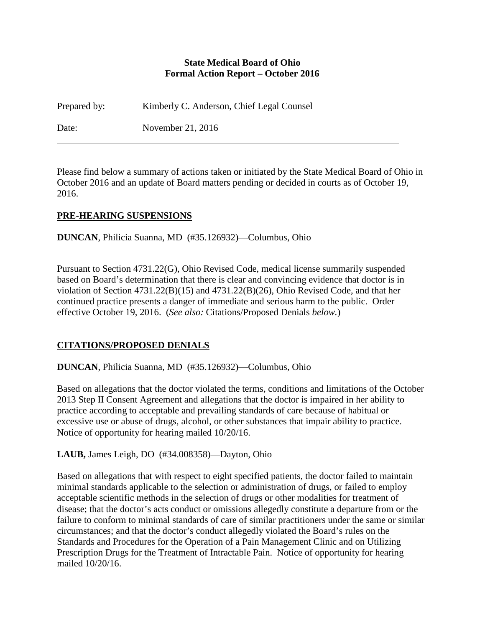### **State Medical Board of Ohio Formal Action Report – October 2016**

Prepared by: Kimberly C. Anderson, Chief Legal Counsel

Date: November 21, 2016

Please find below a summary of actions taken or initiated by the State Medical Board of Ohio in October 2016 and an update of Board matters pending or decided in courts as of October 19, 2016.

# **PRE-HEARING SUSPENSIONS**

**DUNCAN**, Philicia Suanna, MD (#35.126932)—Columbus, Ohio

Pursuant to Section 4731.22(G), Ohio Revised Code, medical license summarily suspended based on Board's determination that there is clear and convincing evidence that doctor is in violation of Section 4731.22(B)(15) and 4731.22(B)(26), Ohio Revised Code, and that her continued practice presents a danger of immediate and serious harm to the public. Order effective October 19, 2016. (*See also:* Citations/Proposed Denials *below.*)

# **CITATIONS/PROPOSED DENIALS**

**DUNCAN**, Philicia Suanna, MD (#35.126932)—Columbus, Ohio

Based on allegations that the doctor violated the terms, conditions and limitations of the October 2013 Step II Consent Agreement and allegations that the doctor is impaired in her ability to practice according to acceptable and prevailing standards of care because of habitual or excessive use or abuse of drugs, alcohol, or other substances that impair ability to practice. Notice of opportunity for hearing mailed 10/20/16.

**LAUB,** James Leigh, DO (#34.008358)—Dayton, Ohio

Based on allegations that with respect to eight specified patients, the doctor failed to maintain minimal standards applicable to the selection or administration of drugs, or failed to employ acceptable scientific methods in the selection of drugs or other modalities for treatment of disease; that the doctor's acts conduct or omissions allegedly constitute a departure from or the failure to conform to minimal standards of care of similar practitioners under the same or similar circumstances; and that the doctor's conduct allegedly violated the Board's rules on the Standards and Procedures for the Operation of a Pain Management Clinic and on Utilizing Prescription Drugs for the Treatment of Intractable Pain. Notice of opportunity for hearing mailed 10/20/16.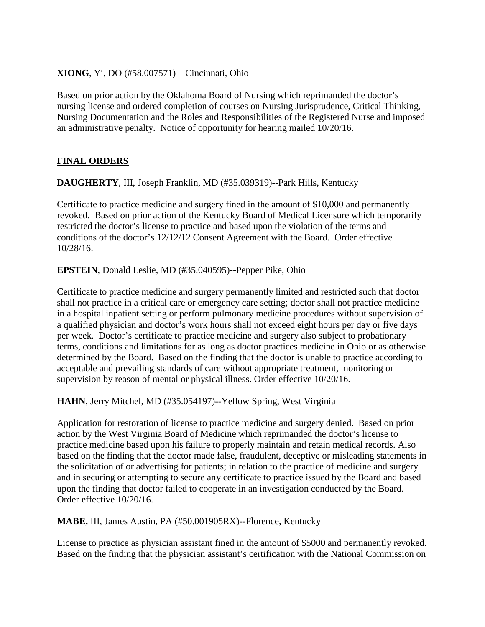### **XIONG**, Yi, DO (#58.007571)—Cincinnati, Ohio

Based on prior action by the Oklahoma Board of Nursing which reprimanded the doctor's nursing license and ordered completion of courses on Nursing Jurisprudence, Critical Thinking, Nursing Documentation and the Roles and Responsibilities of the Registered Nurse and imposed an administrative penalty. Notice of opportunity for hearing mailed 10/20/16.

# **FINAL ORDERS**

**DAUGHERTY**, III, Joseph Franklin, MD (#35.039319)--Park Hills, Kentucky

Certificate to practice medicine and surgery fined in the amount of \$10,000 and permanently revoked. Based on prior action of the Kentucky Board of Medical Licensure which temporarily restricted the doctor's license to practice and based upon the violation of the terms and conditions of the doctor's 12/12/12 Consent Agreement with the Board. Order effective 10/28/16.

**EPSTEIN**, Donald Leslie, MD (#35.040595)--Pepper Pike, Ohio

Certificate to practice medicine and surgery permanently limited and restricted such that doctor shall not practice in a critical care or emergency care setting; doctor shall not practice medicine in a hospital inpatient setting or perform pulmonary medicine procedures without supervision of a qualified physician and doctor's work hours shall not exceed eight hours per day or five days per week. Doctor's certificate to practice medicine and surgery also subject to probationary terms, conditions and limitations for as long as doctor practices medicine in Ohio or as otherwise determined by the Board. Based on the finding that the doctor is unable to practice according to acceptable and prevailing standards of care without appropriate treatment, monitoring or supervision by reason of mental or physical illness. Order effective 10/20/16.

**HAHN**, Jerry Mitchel, MD (#35.054197)--Yellow Spring, West Virginia

Application for restoration of license to practice medicine and surgery denied. Based on prior action by the West Virginia Board of Medicine which reprimanded the doctor's license to practice medicine based upon his failure to properly maintain and retain medical records. Also based on the finding that the doctor made false, fraudulent, deceptive or misleading statements in the solicitation of or advertising for patients; in relation to the practice of medicine and surgery and in securing or attempting to secure any certificate to practice issued by the Board and based upon the finding that doctor failed to cooperate in an investigation conducted by the Board. Order effective 10/20/16.

**MABE,** III, James Austin, PA (#50.001905RX)--Florence, Kentucky

License to practice as physician assistant fined in the amount of \$5000 and permanently revoked. Based on the finding that the physician assistant's certification with the National Commission on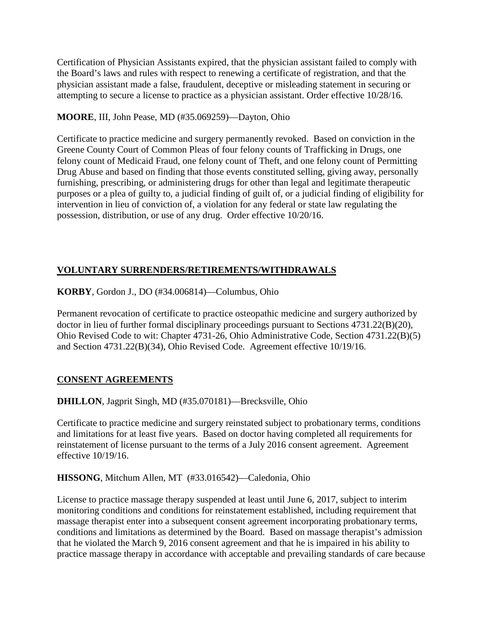Certification of Physician Assistants expired, that the physician assistant failed to comply with the Board's laws and rules with respect to renewing a certificate of registration, and that the physician assistant made a false, fraudulent, deceptive or misleading statement in securing or attempting to secure a license to practice as a physician assistant. Order effective 10/28/16.

# **MOORE**, III, John Pease, MD (#35.069259)—Dayton, Ohio

Certificate to practice medicine and surgery permanently revoked. Based on conviction in the Greene County Court of Common Pleas of four felony counts of Trafficking in Drugs, one felony count of Medicaid Fraud, one felony count of Theft, and one felony count of Permitting Drug Abuse and based on finding that those events constituted selling, giving away, personally furnishing, prescribing, or administering drugs for other than legal and legitimate therapeutic purposes or a plea of guilty to, a judicial finding of guilt of, or a judicial finding of eligibility for intervention in lieu of conviction of, a violation for any federal or state law regulating the possession, distribution, or use of any drug. Order effective 10/20/16.

# **VOLUNTARY SURRENDERS/RETIREMENTS/WITHDRAWALS**

**KORBY**, Gordon J., DO (#34.006814)—Columbus, Ohio

Permanent revocation of certificate to practice osteopathic medicine and surgery authorized by doctor in lieu of further formal disciplinary proceedings pursuant to Sections 4731.22(B)(20), Ohio Revised Code to wit: Chapter 4731-26, Ohio Administrative Code, Section 4731.22(B)(5) and Section 4731.22(B)(34), Ohio Revised Code. Agreement effective 10/19/16.

# **CONSENT AGREEMENTS**

**DHILLON**, Jagprit Singh, MD (#35.070181)—Brecksville, Ohio

Certificate to practice medicine and surgery reinstated subject to probationary terms, conditions and limitations for at least five years. Based on doctor having completed all requirements for reinstatement of license pursuant to the terms of a July 2016 consent agreement. Agreement effective 10/19/16.

**HISSONG**, Mitchum Allen, MT (#33.016542)—Caledonia, Ohio

License to practice massage therapy suspended at least until June 6, 2017, subject to interim monitoring conditions and conditions for reinstatement established, including requirement that massage therapist enter into a subsequent consent agreement incorporating probationary terms, conditions and limitations as determined by the Board. Based on massage therapist's admission that he violated the March 9, 2016 consent agreement and that he is impaired in his ability to practice massage therapy in accordance with acceptable and prevailing standards of care because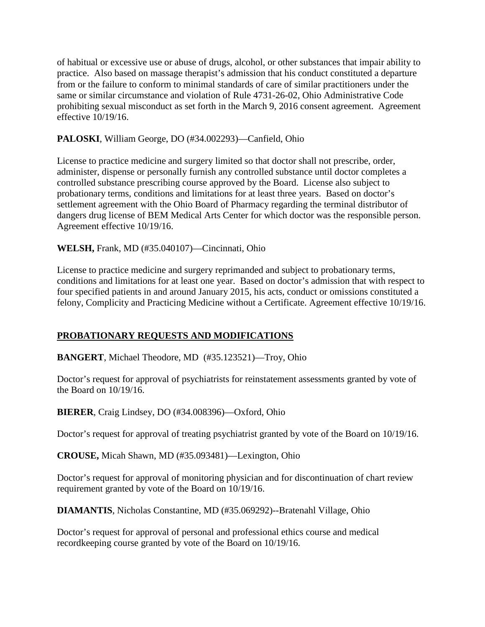of habitual or excessive use or abuse of drugs, alcohol, or other substances that impair ability to practice. Also based on massage therapist's admission that his conduct constituted a departure from or the failure to conform to minimal standards of care of similar practitioners under the same or similar circumstance and violation of Rule 4731-26-02, Ohio Administrative Code prohibiting sexual misconduct as set forth in the March 9, 2016 consent agreement. Agreement effective 10/19/16.

# **PALOSKI**, William George, DO (#34.002293)—Canfield, Ohio

License to practice medicine and surgery limited so that doctor shall not prescribe, order, administer, dispense or personally furnish any controlled substance until doctor completes a controlled substance prescribing course approved by the Board. License also subject to probationary terms, conditions and limitations for at least three years. Based on doctor's settlement agreement with the Ohio Board of Pharmacy regarding the terminal distributor of dangers drug license of BEM Medical Arts Center for which doctor was the responsible person. Agreement effective 10/19/16.

# **WELSH,** Frank, MD (#35.040107)—Cincinnati, Ohio

License to practice medicine and surgery reprimanded and subject to probationary terms, conditions and limitations for at least one year. Based on doctor's admission that with respect to four specified patients in and around January 2015, his acts, conduct or omissions constituted a felony, Complicity and Practicing Medicine without a Certificate. Agreement effective 10/19/16.

# **PROBATIONARY REQUESTS AND MODIFICATIONS**

**BANGERT**, Michael Theodore, MD (#35.123521)—Troy, Ohio

Doctor's request for approval of psychiatrists for reinstatement assessments granted by vote of the Board on 10/19/16.

**BIERER**, Craig Lindsey, DO (#34.008396)—Oxford, Ohio

Doctor's request for approval of treating psychiatrist granted by vote of the Board on 10/19/16.

**CROUSE,** Micah Shawn, MD (#35.093481)—Lexington, Ohio

Doctor's request for approval of monitoring physician and for discontinuation of chart review requirement granted by vote of the Board on 10/19/16.

**DIAMANTIS**, Nicholas Constantine, MD (#35.069292)--Bratenahl Village, Ohio

Doctor's request for approval of personal and professional ethics course and medical recordkeeping course granted by vote of the Board on 10/19/16.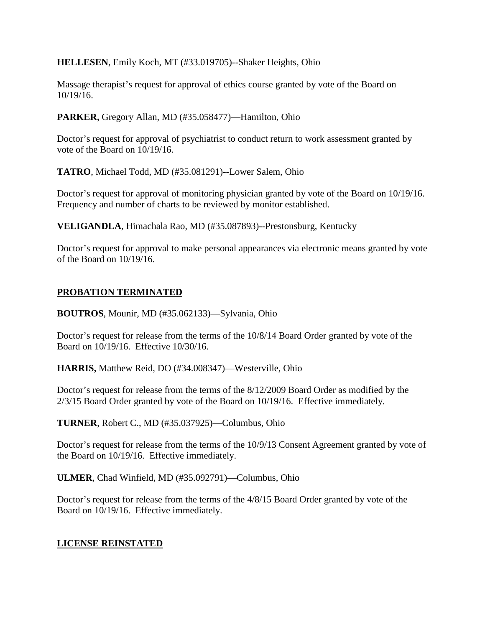**HELLESEN**, Emily Koch, MT (#33.019705)--Shaker Heights, Ohio

Massage therapist's request for approval of ethics course granted by vote of the Board on 10/19/16.

**PARKER,** Gregory Allan, MD (#35.058477)—Hamilton, Ohio

Doctor's request for approval of psychiatrist to conduct return to work assessment granted by vote of the Board on 10/19/16.

**TATRO**, Michael Todd, MD (#35.081291)--Lower Salem, Ohio

Doctor's request for approval of monitoring physician granted by vote of the Board on 10/19/16. Frequency and number of charts to be reviewed by monitor established.

**VELIGANDLA**, Himachala Rao, MD (#35.087893)--Prestonsburg, Kentucky

Doctor's request for approval to make personal appearances via electronic means granted by vote of the Board on 10/19/16.

### **PROBATION TERMINATED**

**BOUTROS**, Mounir, MD (#35.062133)—Sylvania, Ohio

Doctor's request for release from the terms of the 10/8/14 Board Order granted by vote of the Board on 10/19/16. Effective 10/30/16.

**HARRIS,** Matthew Reid, DO (#34.008347)—Westerville, Ohio

Doctor's request for release from the terms of the 8/12/2009 Board Order as modified by the 2/3/15 Board Order granted by vote of the Board on 10/19/16. Effective immediately.

**TURNER**, Robert C., MD (#35.037925)—Columbus, Ohio

Doctor's request for release from the terms of the 10/9/13 Consent Agreement granted by vote of the Board on 10/19/16. Effective immediately.

**ULMER**, Chad Winfield, MD (#35.092791)—Columbus, Ohio

Doctor's request for release from the terms of the 4/8/15 Board Order granted by vote of the Board on 10/19/16. Effective immediately.

# **LICENSE REINSTATED**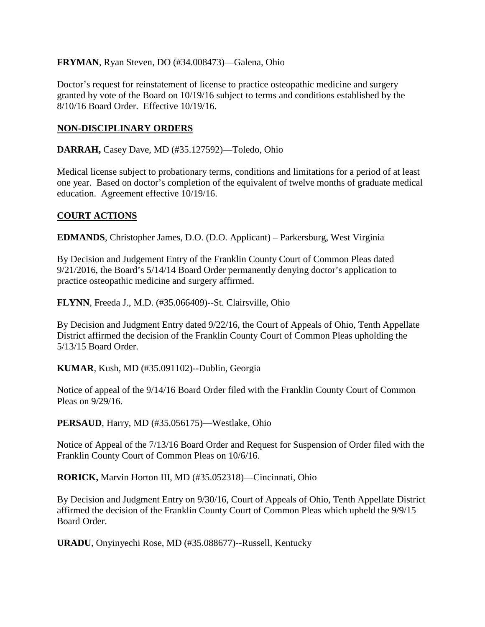### **FRYMAN**, Ryan Steven, DO (#34.008473)—Galena, Ohio

Doctor's request for reinstatement of license to practice osteopathic medicine and surgery granted by vote of the Board on 10/19/16 subject to terms and conditions established by the 8/10/16 Board Order. Effective 10/19/16.

### **NON-DISCIPLINARY ORDERS**

**DARRAH,** Casey Dave, MD (#35.127592)—Toledo, Ohio

Medical license subject to probationary terms, conditions and limitations for a period of at least one year. Based on doctor's completion of the equivalent of twelve months of graduate medical education. Agreement effective 10/19/16.

# **COURT ACTIONS**

**EDMANDS**, Christopher James, D.O. (D.O. Applicant) – Parkersburg, West Virginia

By Decision and Judgement Entry of the Franklin County Court of Common Pleas dated 9/21/2016, the Board's 5/14/14 Board Order permanently denying doctor's application to practice osteopathic medicine and surgery affirmed.

**FLYNN**, Freeda J., M.D. (#35.066409)--St. Clairsville, Ohio

By Decision and Judgment Entry dated 9/22/16, the Court of Appeals of Ohio, Tenth Appellate District affirmed the decision of the Franklin County Court of Common Pleas upholding the 5/13/15 Board Order.

**KUMAR**, Kush, MD (#35.091102)--Dublin, Georgia

Notice of appeal of the 9/14/16 Board Order filed with the Franklin County Court of Common Pleas on 9/29/16.

**PERSAUD**, Harry, MD (#35.056175)—Westlake, Ohio

Notice of Appeal of the 7/13/16 Board Order and Request for Suspension of Order filed with the Franklin County Court of Common Pleas on 10/6/16.

**RORICK,** Marvin Horton III, MD (#35.052318)—Cincinnati, Ohio

By Decision and Judgment Entry on 9/30/16, Court of Appeals of Ohio, Tenth Appellate District affirmed the decision of the Franklin County Court of Common Pleas which upheld the 9/9/15 Board Order.

**URADU**, Onyinyechi Rose, MD (#35.088677)--Russell, Kentucky